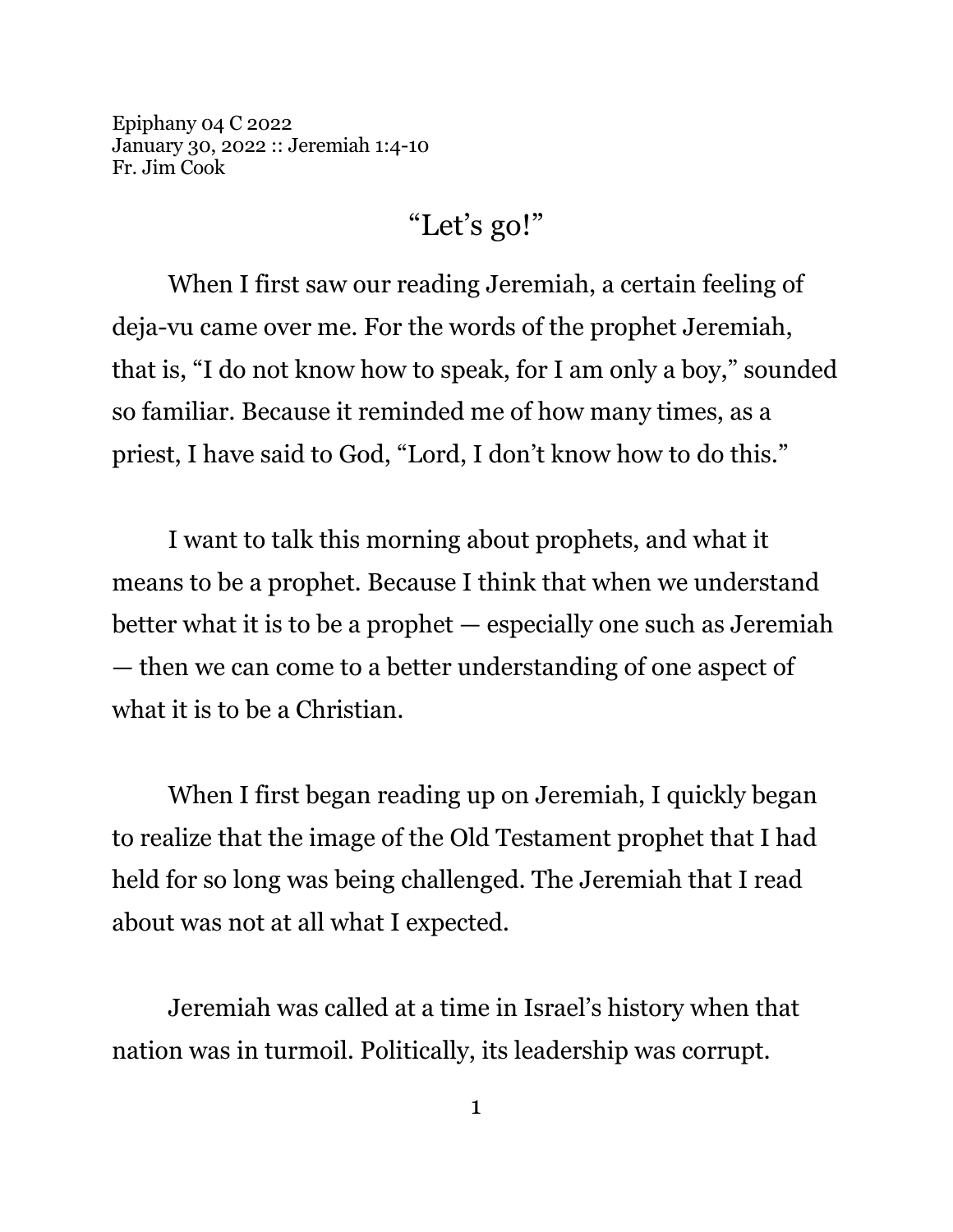Epiphany 04 C 2022 January 30, 2022 :: Jeremiah 1:4-10 Fr. Jim Cook

## "Let's go!"

When I first saw our reading Jeremiah, a certain feeling of deja-vu came over me. For the words of the prophet Jeremiah, that is, "I do not know how to speak, for I am only a boy," sounded so familiar. Because it reminded me of how many times, as a priest, I have said to God, "Lord, I don't know how to do this."

I want to talk this morning about prophets, and what it means to be a prophet. Because I think that when we understand better what it is to be a prophet — especially one such as Jeremiah — then we can come to a better understanding of one aspect of what it is to be a Christian.

When I first began reading up on Jeremiah, I quickly began to realize that the image of the Old Testament prophet that I had held for so long was being challenged. The Jeremiah that I read about was not at all what I expected.

Jeremiah was called at a time in Israel's history when that nation was in turmoil. Politically, its leadership was corrupt.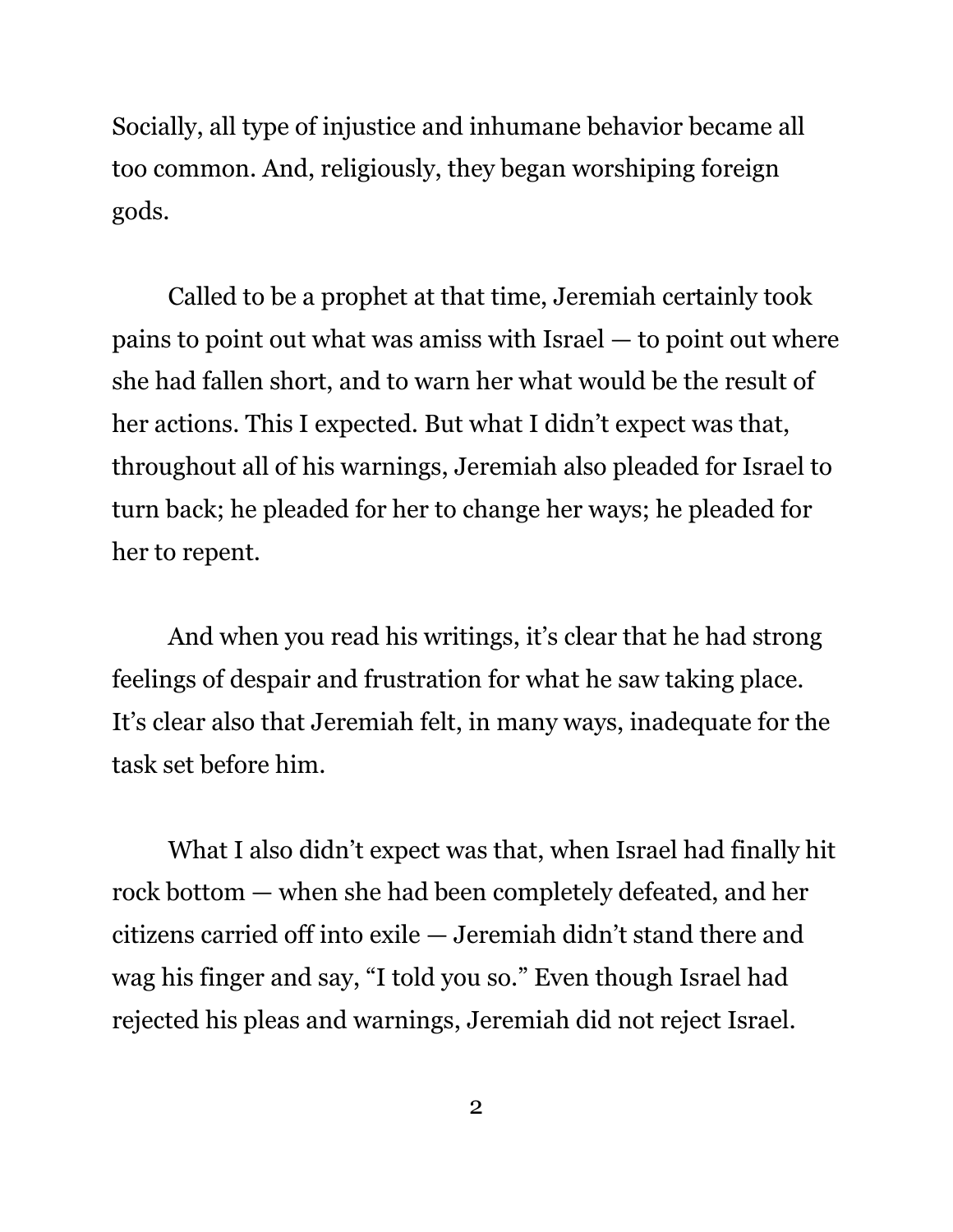Socially, all type of injustice and inhumane behavior became all too common. And, religiously, they began worshiping foreign gods.

Called to be a prophet at that time, Jeremiah certainly took pains to point out what was amiss with Israel — to point out where she had fallen short, and to warn her what would be the result of her actions. This I expected. But what I didn't expect was that, throughout all of his warnings, Jeremiah also pleaded for Israel to turn back; he pleaded for her to change her ways; he pleaded for her to repent.

And when you read his writings, it's clear that he had strong feelings of despair and frustration for what he saw taking place. It's clear also that Jeremiah felt, in many ways, inadequate for the task set before him.

What I also didn't expect was that, when Israel had finally hit rock bottom — when she had been completely defeated, and her citizens carried off into exile — Jeremiah didn't stand there and wag his finger and say, "I told you so." Even though Israel had rejected his pleas and warnings, Jeremiah did not reject Israel.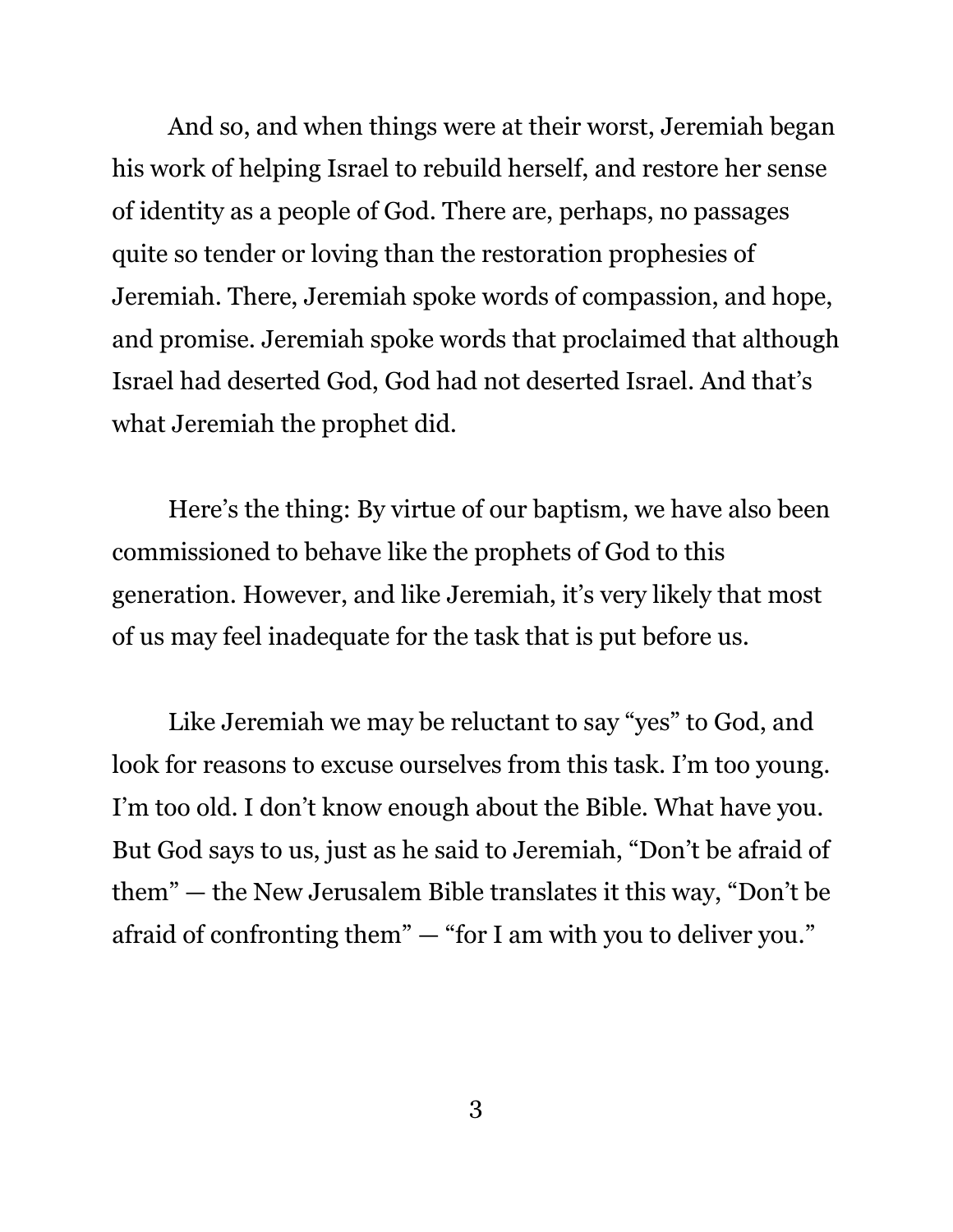And so, and when things were at their worst, Jeremiah began his work of helping Israel to rebuild herself, and restore her sense of identity as a people of God. There are, perhaps, no passages quite so tender or loving than the restoration prophesies of Jeremiah. There, Jeremiah spoke words of compassion, and hope, and promise. Jeremiah spoke words that proclaimed that although Israel had deserted God, God had not deserted Israel. And that's what Jeremiah the prophet did.

Here's the thing: By virtue of our baptism, we have also been commissioned to behave like the prophets of God to this generation. However, and like Jeremiah, it's very likely that most of us may feel inadequate for the task that is put before us.

Like Jeremiah we may be reluctant to say "yes" to God, and look for reasons to excuse ourselves from this task. I'm too young. I'm too old. I don't know enough about the Bible. What have you. But God says to us, just as he said to Jeremiah, "Don't be afraid of them" — the New Jerusalem Bible translates it this way, "Don't be afraid of confronting them" — "for I am with you to deliver you."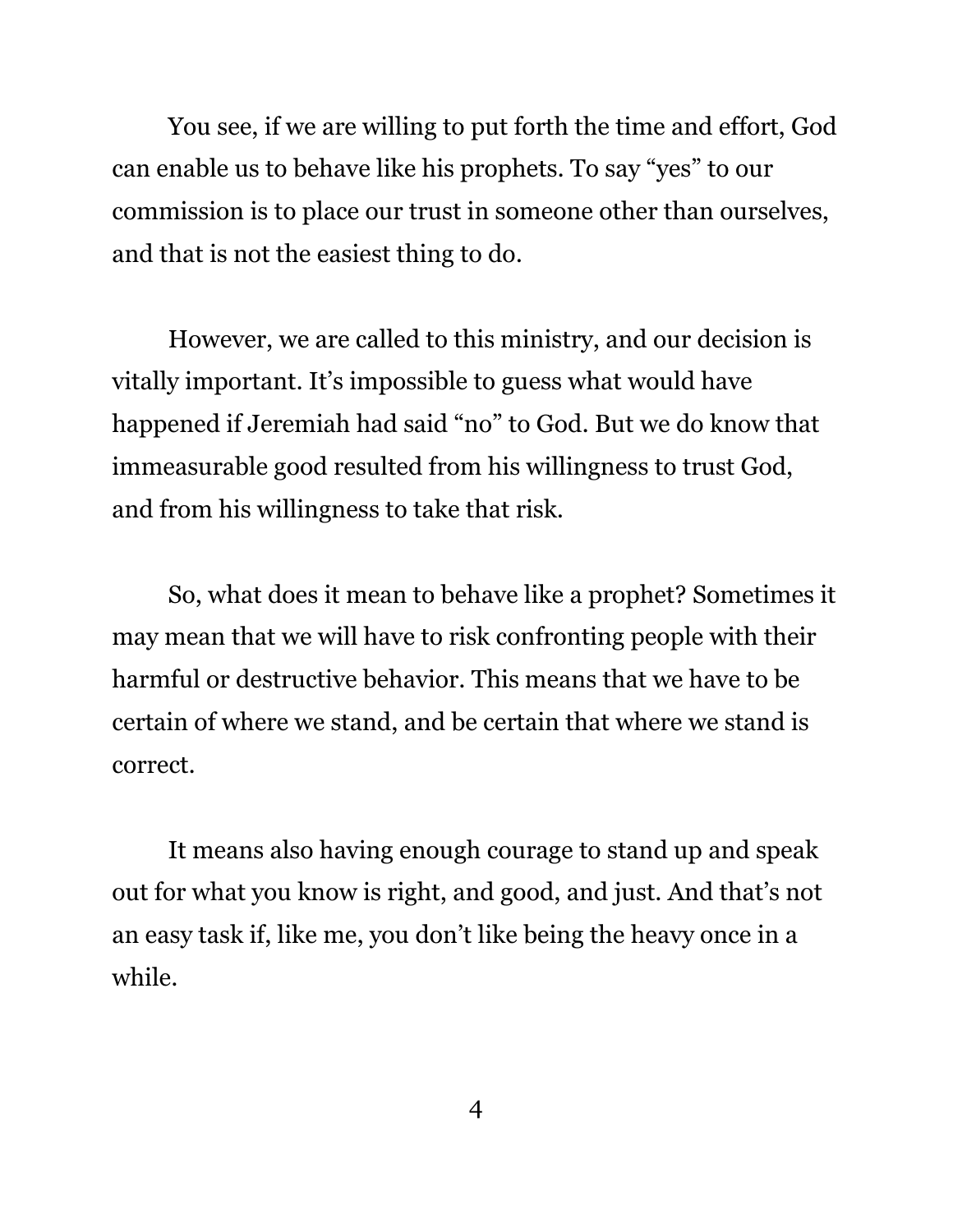You see, if we are willing to put forth the time and effort, God can enable us to behave like his prophets. To say "yes" to our commission is to place our trust in someone other than ourselves, and that is not the easiest thing to do.

However, we are called to this ministry, and our decision is vitally important. It's impossible to guess what would have happened if Jeremiah had said "no" to God. But we do know that immeasurable good resulted from his willingness to trust God, and from his willingness to take that risk.

So, what does it mean to behave like a prophet? Sometimes it may mean that we will have to risk confronting people with their harmful or destructive behavior. This means that we have to be certain of where we stand, and be certain that where we stand is correct.

It means also having enough courage to stand up and speak out for what you know is right, and good, and just. And that's not an easy task if, like me, you don't like being the heavy once in a while.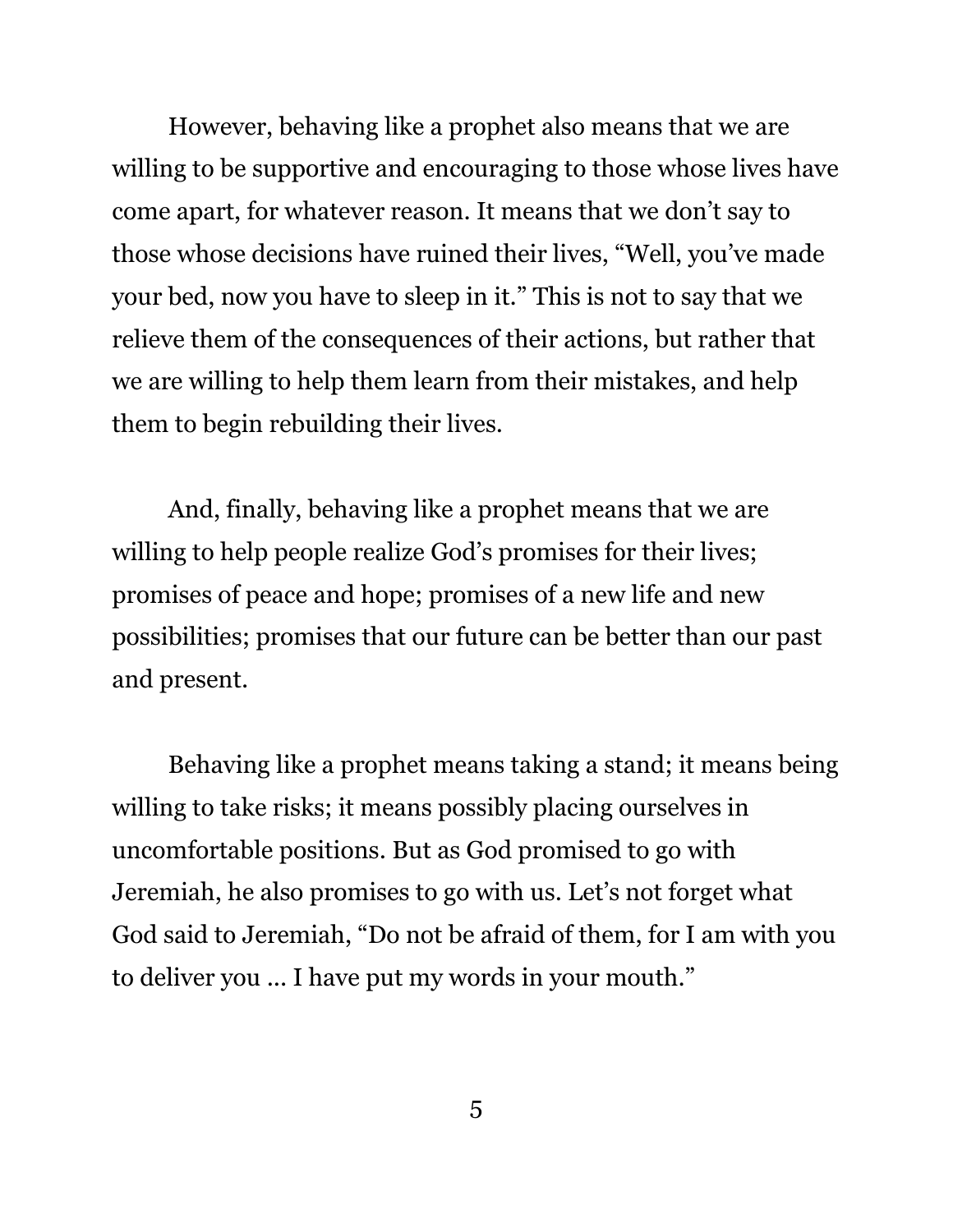However, behaving like a prophet also means that we are willing to be supportive and encouraging to those whose lives have come apart, for whatever reason. It means that we don't say to those whose decisions have ruined their lives, "Well, you've made your bed, now you have to sleep in it." This is not to say that we relieve them of the consequences of their actions, but rather that we are willing to help them learn from their mistakes, and help them to begin rebuilding their lives.

And, finally, behaving like a prophet means that we are willing to help people realize God's promises for their lives; promises of peace and hope; promises of a new life and new possibilities; promises that our future can be better than our past and present.

Behaving like a prophet means taking a stand; it means being willing to take risks; it means possibly placing ourselves in uncomfortable positions. But as God promised to go with Jeremiah, he also promises to go with us. Let's not forget what God said to Jeremiah, "Do not be afraid of them, for I am with you to deliver you ... I have put my words in your mouth."